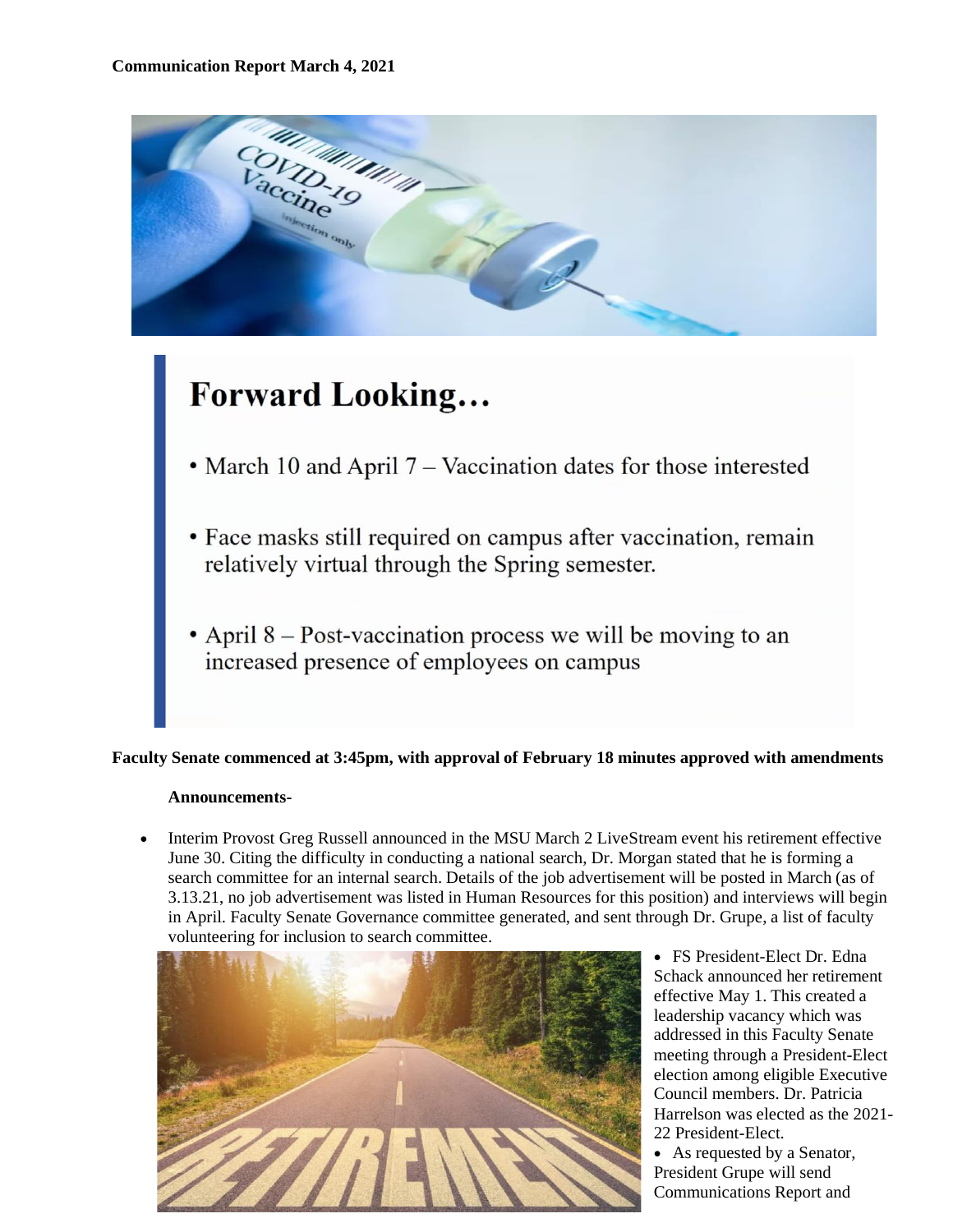

# **Forward Looking...**

- March 10 and April  $7 -$  Vaccination dates for those interested
- Face masks still required on campus after vaccination, remain relatively virtual through the Spring semester.
- April  $8$  Post-vaccination process we will be moving to an increased presence of employees on campus

## **Faculty Senate commenced at 3:45pm, with approval of February 18 minutes approved with amendments**

#### **Announcements-**

• Interim Provost Greg Russell announced in the MSU March 2 LiveStream event his retirement effective June 30. Citing the difficulty in conducting a national search, Dr. Morgan stated that he is forming a search committee for an internal search. Details of the job advertisement will be posted in March (as of 3.13.21, no job advertisement was listed in Human Resources for this position) and interviews will begin in April. Faculty Senate Governance committee generated, and sent through Dr. Grupe, a list of faculty volunteering for inclusion to search committee.



• FS President-Elect Dr. Edna Schack announced her retirement effective May 1. This created a leadership vacancy which was addressed in this Faculty Senate meeting through a President-Elect election among eligible Executive Council members. Dr. Patricia Harrelson was elected as the 2021- 22 President-Elect.

• As requested by a Senator, President Grupe will send Communications Report and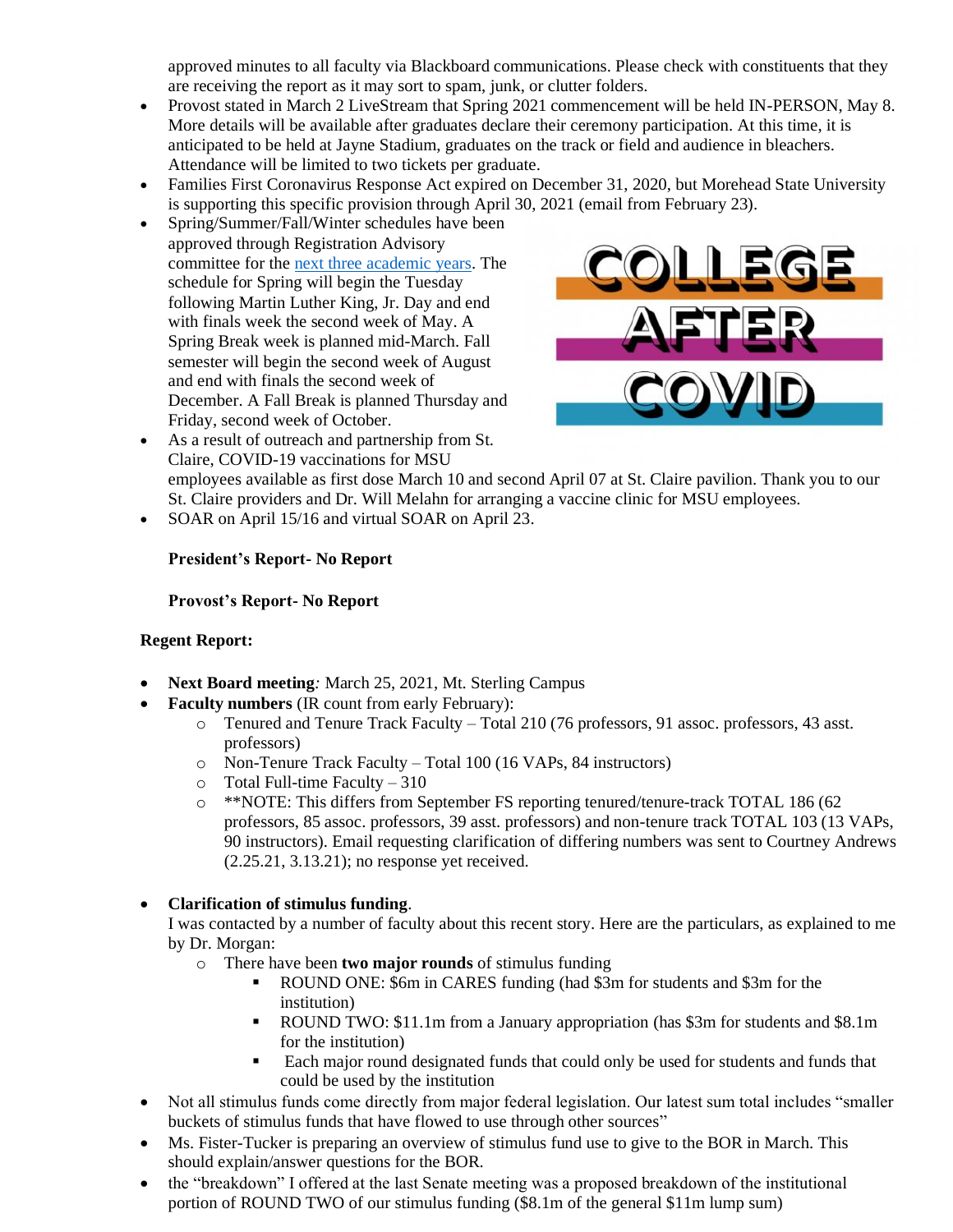approved minutes to all faculty via Blackboard communications. Please check with constituents that they are receiving the report as it may sort to spam, junk, or clutter folders.

- Provost stated in March 2 LiveStream that Spring 2021 commencement will be held IN-PERSON, May 8. More details will be available after graduates declare their ceremony participation. At this time, it is anticipated to be held at Jayne Stadium, graduates on the track or field and audience in bleachers. Attendance will be limited to two tickets per graduate.
- Families First Coronavirus Response Act expired on December 31, 2020, but Morehead State University is supporting this specific provision through April 30, 2021 (email from February 23).
- Spring/Summer/Fall/Winter schedules have been approved through Registration Advisory committee for the [next three academic years.](https://www.moreheadstate.edu/Academic-Affairs/Registrar/Academic-Calendars) The schedule for Spring will begin the Tuesday following Martin Luther King, Jr. Day and end with finals week the second week of May. A Spring Break week is planned mid-March. Fall semester will begin the second week of August and end with finals the second week of December. A Fall Break is planned Thursday and Friday, second week of October.



- As a result of outreach and partnership from St. Claire, COVID-19 vaccinations for MSU employees available as first dose March 10 and second April 07 at St. Claire pavilion. Thank you to our St. Claire providers and Dr. Will Melahn for arranging a vaccine clinic for MSU employees.
- SOAR on April 15/16 and virtual SOAR on April 23.

## **President's Report- No Report**

### **Provost's Report- No Report**

#### **Regent Report:**

- **Next Board meeting***:* March 25, 2021, Mt. Sterling Campus
- **Faculty numbers** (IR count from early February):
	- o Tenured and Tenure Track Faculty Total 210 (76 professors, 91 assoc. professors, 43 asst. professors)
	- o Non-Tenure Track Faculty Total 100 (16 VAPs, 84 instructors)
	- $\circ$  Total Full-time Faculty 310
	- o \*\*NOTE: This differs from September FS reporting tenured/tenure-track TOTAL 186 (62 professors, 85 assoc. professors, 39 asst. professors) and non-tenure track TOTAL 103 (13 VAPs, 90 instructors). Email requesting clarification of differing numbers was sent to Courtney Andrews (2.25.21, 3.13.21); no response yet received.

## • **Clarification of stimulus funding**.

I was contacted by a number of faculty about this recent story. Here are the particulars, as explained to me by Dr. Morgan:

- o There have been **two major rounds** of stimulus funding
	- ROUND ONE: \$6m in CARES funding (had \$3m for students and \$3m for the institution)
	- ROUND TWO: \$11.1m from a January appropriation (has \$3m for students and \$8.1m for the institution)
	- Each major round designated funds that could only be used for students and funds that could be used by the institution
- Not all stimulus funds come directly from major federal legislation. Our latest sum total includes "smaller buckets of stimulus funds that have flowed to use through other sources"
- Ms. Fister-Tucker is preparing an overview of stimulus fund use to give to the BOR in March. This should explain/answer questions for the BOR.
- the "breakdown" I offered at the last Senate meeting was a proposed breakdown of the institutional portion of ROUND TWO of our stimulus funding (\$8.1m of the general \$11m lump sum)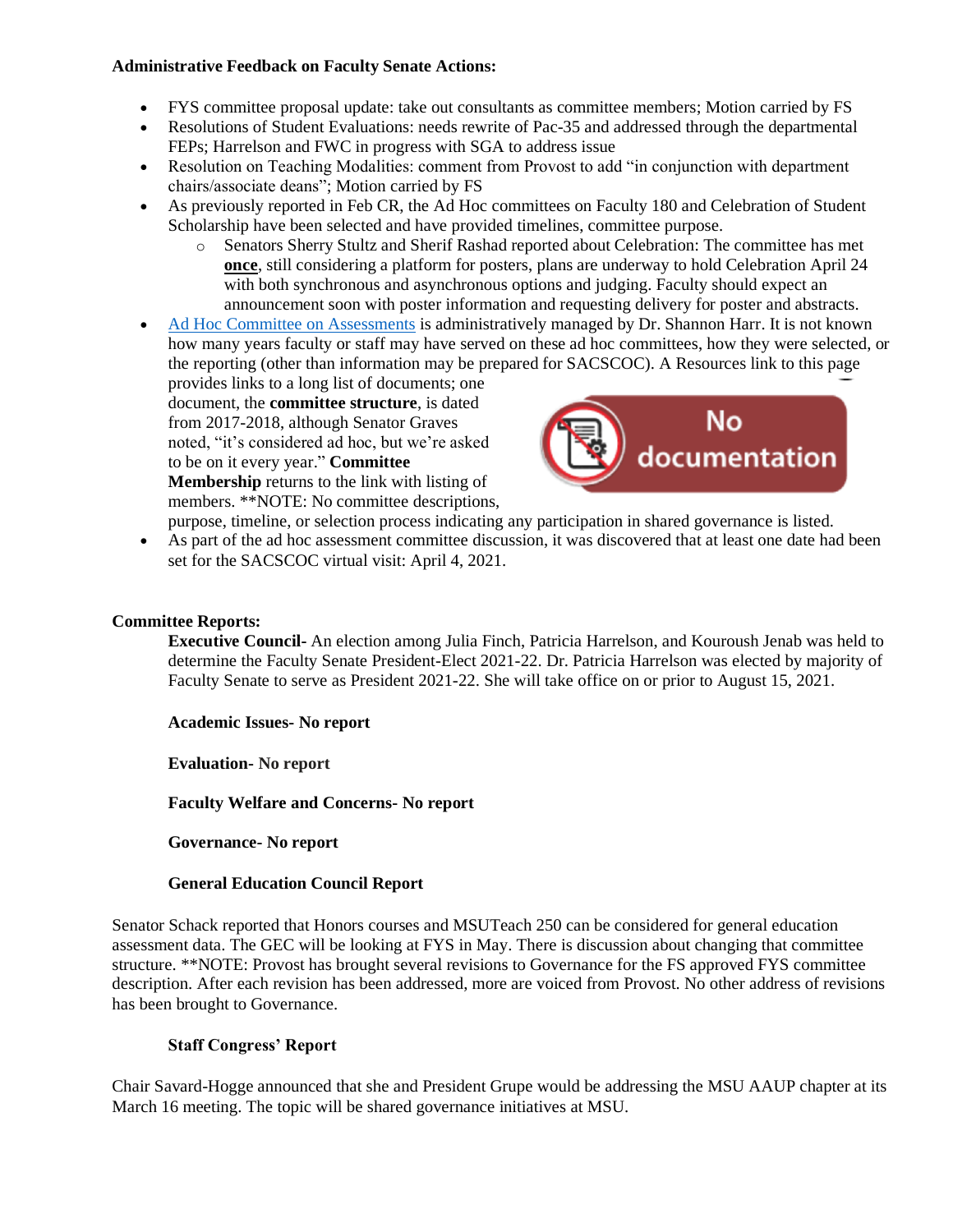#### **Administrative Feedback on Faculty Senate Actions:**

- FYS committee proposal update: take out consultants as committee members; Motion carried by FS
- Resolutions of Student Evaluations: needs rewrite of Pac-35 and addressed through the departmental FEPs; Harrelson and FWC in progress with SGA to address issue
- Resolution on Teaching Modalities: comment from Provost to add "in conjunction with department chairs/associate deans"; Motion carried by FS
- As previously reported in Feb CR, the Ad Hoc committees on Faculty 180 and Celebration of Student Scholarship have been selected and have provided timelines, committee purpose.
	- o Senators Sherry Stultz and Sherif Rashad reported about Celebration: The committee has met **once**, still considering a platform for posters, plans are underway to hold Celebration April 24 with both synchronous and asynchronous options and judging. Faculty should expect an announcement soon with poster information and requesting delivery for poster and abstracts.
- [Ad Hoc Committee on Assessments](https://www.moreheadstate.edu/Administration/PPE/University-Assessment-Testing/Resources/Committee-Membership) is administratively managed by Dr. Shannon Harr. It is not known how many years faculty or staff may have served on these ad hoc committees, how they were selected, or the reporting (other than information may be prepared for SACSCOC). A Resources link to this page

provides links to a long list of documents; one document, the **committee structure**, is dated from 2017-2018, although Senator Graves noted, "it's considered ad hoc, but we're asked to be on it every year." **Committee Membership** returns to the link with listing of members. \*\*NOTE: No committee descriptions,



purpose, timeline, or selection process indicating any participation in shared governance is listed.

As part of the ad hoc assessment committee discussion, it was discovered that at least one date had been set for the SACSCOC virtual visit: April 4, 2021.

## **Committee Reports:**

**Executive Council-** An election among Julia Finch, Patricia Harrelson, and Kouroush Jenab was held to determine the Faculty Senate President-Elect 2021-22. Dr. Patricia Harrelson was elected by majority of Faculty Senate to serve as President 2021-22. She will take office on or prior to August 15, 2021.

**Academic Issues- No report**

**Evaluation- No report**

**Faculty Welfare and Concerns- No report**

**Governance- No report**

#### **General Education Council Report**

Senator Schack reported that Honors courses and MSUTeach 250 can be considered for general education assessment data. The GEC will be looking at FYS in May. There is discussion about changing that committee structure. \*\*NOTE: Provost has brought several revisions to Governance for the FS approved FYS committee description. After each revision has been addressed, more are voiced from Provost. No other address of revisions has been brought to Governance.

## **Staff Congress' Report**

Chair Savard-Hogge announced that she and President Grupe would be addressing the MSU AAUP chapter at its March 16 meeting. The topic will be shared governance initiatives at MSU.